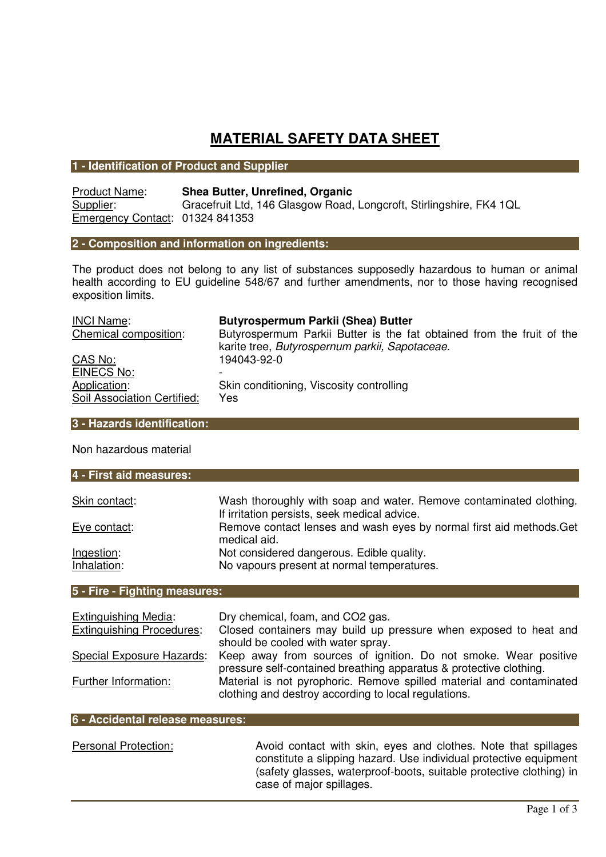# **MATERIAL SAFETY DATA SHEET**

## **1 - Identification of Product and Supplier**

Product Name: **Shea Butter, Unrefined, Organic**  Supplier: Gracefruit Ltd, 146 Glasgow Road, Longcroft, Stirlingshire, FK4 1QL Emergency Contact: 01324 841353

# **2 - Composition and information on ingredients:**

The product does not belong to any list of substances supposedly hazardous to human or animal health according to EU guideline 548/67 and further amendments, nor to those having recognised exposition limits.

| <b>INCI Name:</b>           | <b>Butyrospermum Parkii (Shea) Butter</b>                             |
|-----------------------------|-----------------------------------------------------------------------|
| Chemical composition:       | Butyrospermum Parkii Butter is the fat obtained from the fruit of the |
|                             | karite tree, Butyrospernum parkii, Sapotaceae.                        |
| CAS No:                     | 194043-92-0                                                           |
| EINECS No:                  |                                                                       |
| Application:                | Skin conditioning, Viscosity controlling                              |
| Soil Association Certified: | Yes                                                                   |

# **3 - Hazards identification:**

Non hazardous material

| 4 - First aid measures:          |                                                                                                                                       |  |
|----------------------------------|---------------------------------------------------------------------------------------------------------------------------------------|--|
| Skin contact:                    | Wash thoroughly with soap and water. Remove contaminated clothing.                                                                    |  |
|                                  | If irritation persists, seek medical advice.                                                                                          |  |
| Eye contact:                     | Remove contact lenses and wash eyes by normal first aid methods. Get<br>medical aid.                                                  |  |
| Ingestion:                       | Not considered dangerous. Edible quality.                                                                                             |  |
| Inhalation:                      | No vapours present at normal temperatures.                                                                                            |  |
|                                  |                                                                                                                                       |  |
| 5 - Fire - Fighting measures:    |                                                                                                                                       |  |
| <b>Extinguishing Media:</b>      | Dry chemical, foam, and CO2 gas.                                                                                                      |  |
| <b>Extinguishing Procedures:</b> | Closed containers may build up pressure when exposed to heat and<br>should be cooled with water spray.                                |  |
| <b>Special Exposure Hazards:</b> | Keep away from sources of ignition. Do not smoke. Wear positive<br>pressure self-contained breathing apparatus & protective clothing. |  |
| Further Information:             | Material is not pyrophoric. Remove spilled material and contaminated<br>clothing and destroy according to local regulations.          |  |

## **6 - Accidental release measures:**

| <b>Personal Protection:</b> | Avoid contact with skin, eyes and clothes. Note that spillages                                                                                                       |
|-----------------------------|----------------------------------------------------------------------------------------------------------------------------------------------------------------------|
|                             | constitute a slipping hazard. Use individual protective equipment<br>(safety glasses, waterproof-boots, suitable protective clothing) in<br>case of major spillages. |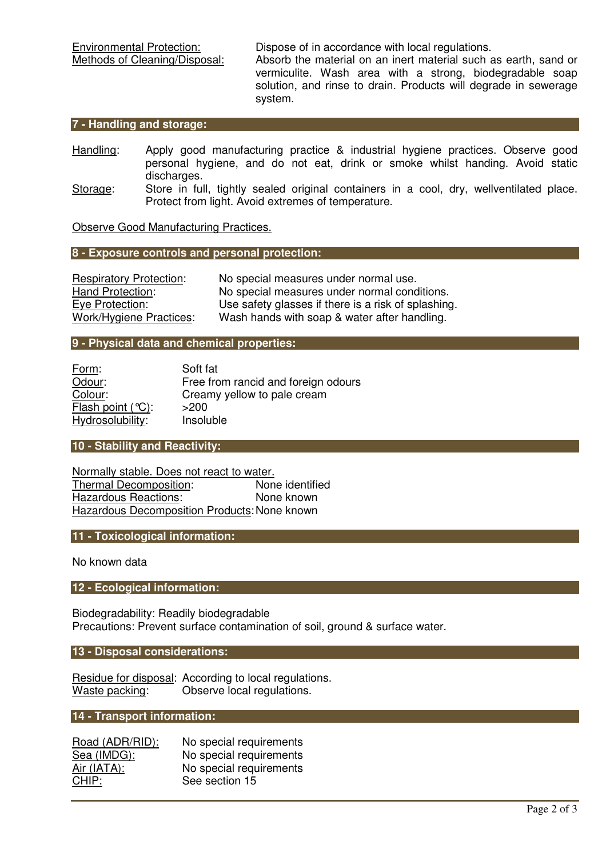Environmental Protection:<br>
Methods of Cleaning/Disposal: Absorb the material on an inert material such a

Absorb the material on an inert material such as earth, sand or vermiculite. Wash area with a strong, biodegradable soap solution, and rinse to drain. Products will degrade in sewerage system.

## **7 - Handling and storage:**

- Handling: Apply good manufacturing practice & industrial hygiene practices. Observe good personal hygiene, and do not eat, drink or smoke whilst handing. Avoid static discharges.
- Storage: Store in full, tightly sealed original containers in a cool, dry, wellventilated place. Protect from light. Avoid extremes of temperature.

Observe Good Manufacturing Practices.

## **8 - Exposure controls and personal protection:**

| <b>Respiratory Protection:</b> | No special measures under normal use.               |
|--------------------------------|-----------------------------------------------------|
| Hand Protection:               | No special measures under normal conditions.        |
| Eye Protection:                | Use safety glasses if there is a risk of splashing. |
| Work/Hygiene Practices:        | Wash hands with soap & water after handling.        |

#### **9 - Physical data and chemical properties:**

| Form:                | Soft fat                            |
|----------------------|-------------------------------------|
| Odour:               | Free from rancid and foreign odours |
| Colour:              | Creamy yellow to pale cream         |
| Flash point $(°C)$ : | >200                                |
| Hydrosolubility:     | Insoluble                           |

## **10 - Stability and Reactivity:**

**Normally stable. Does not react to water.**<br>Thermal Decomposition: **None identified** Thermal Decomposition: Hazardous Reactions: None known Hazardous Decomposition Products: None known

## **11 - Toxicological information:**

No known data

# **12 - Ecological information:**

Biodegradability: Readily biodegradable Precautions: Prevent surface contamination of soil, ground & surface water.

**13 - Disposal considerations:** 

Residue for disposal: According to local regulations.<br>Waste packing: Observe local regulations. Observe local regulations.

# **14 - Transport information:**

| No special requirements |
|-------------------------|
| No special requirements |
| No special requirements |
| See section 15          |
|                         |